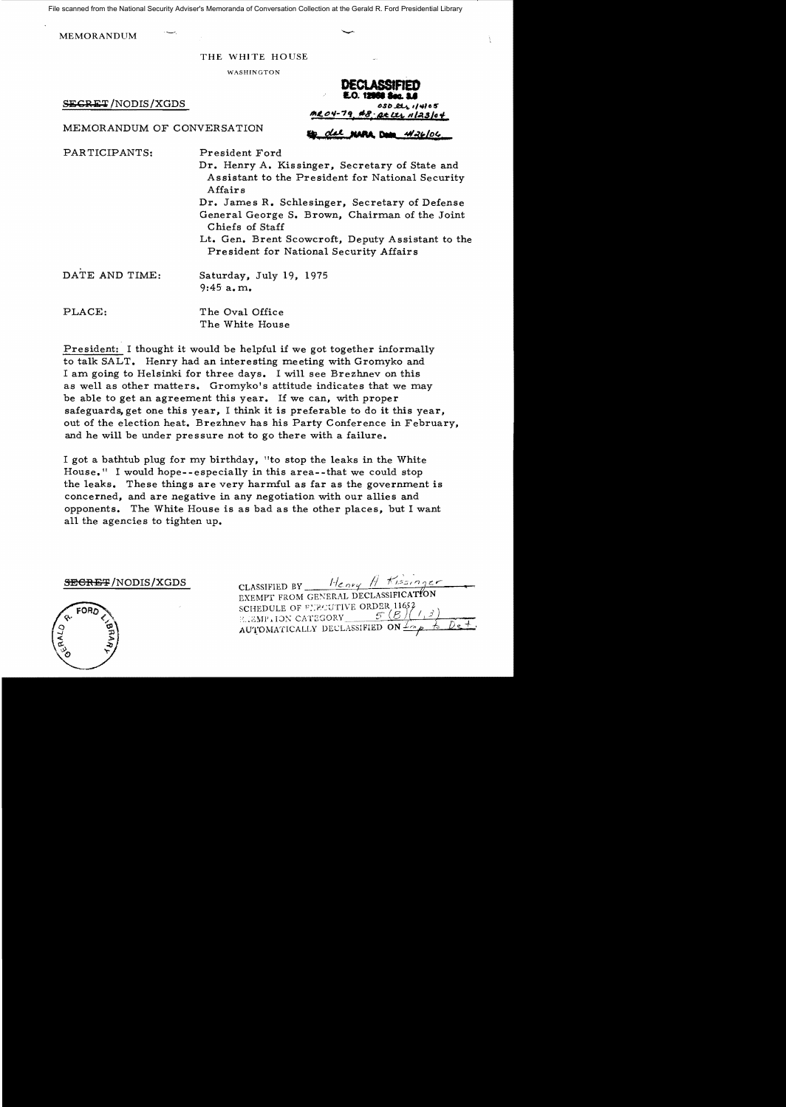File scanned from the National Security Adviser's Memoranda of Conversation Collection at the Gerald R. Ford Presidential Library

MEMORANDUM

#### THE WHITE HOUSE

WASHINGTON

 $S_{\text{E}}$ GRET/NODIS/XGDS

DECLASSIFIED **DECLASSIFIED<br>E.O. 12068 Sec. 2.6** *IItL".,-7"* ."'8,' 4\$ **If/A.s/(J** *t* 

MEMORANDUM OF CONVERSATION **50.** die neue met with the window

PARTICIPANTS: President Ford

Dr. Henry A. Kissinger, Secretary of State and Assistant to the President for National Security Affairs

Dr. James R. Schlesinger, Secretary of Defense General George S. Brown, Chairman of the Joint Chiefs of Staff

Lt. Gen. Brent Scowcroft, Deputy Assistant to the President for National Security Affairs

DATE AND TIME: Saturday, July 19, 1975 9:45 a. m.

PLACE: The Oval Office The White House

President: I thought it would be helpful if we got together informally to talk SALT. Henry had an interesting meeting with Gromyko and I am going to Helsinki for three days. I will see Brezhnev on this as well as other matters. Gromyko's attitude indicates that we may be able to get an agreement this year. If we can, with proper safeguards, get one this year, I think it is preferable to do it this year, out of the election heat. Brezhnev has his Party Conference in February, and he will be under pressure not to go there with a failure.

I got a bathtub plug for my birthday, "to stop the leaks in the White House." I would hope--especially in this area--that we could stop the leaks. These things are very harmful as far as the government is concerned, and are negative in any negotiation with our allies and opponents. The White House is as bad as the other places, but I want all the agencies to tighten up.

SEGRET/NODIS/XGDS



| CLASSIFIED BY Henry H Kissinger      |  |  |
|--------------------------------------|--|--|
| EXEMPT FROM GENERAL DECLASSIFICATION |  |  |
| SCHEDULE OF FIRECUTIVE ORDER 11652   |  |  |
| EIEMP.ION CATEGORY                   |  |  |
| AUTOMATICALLY DECLASSIFIED ON LO.    |  |  |
|                                      |  |  |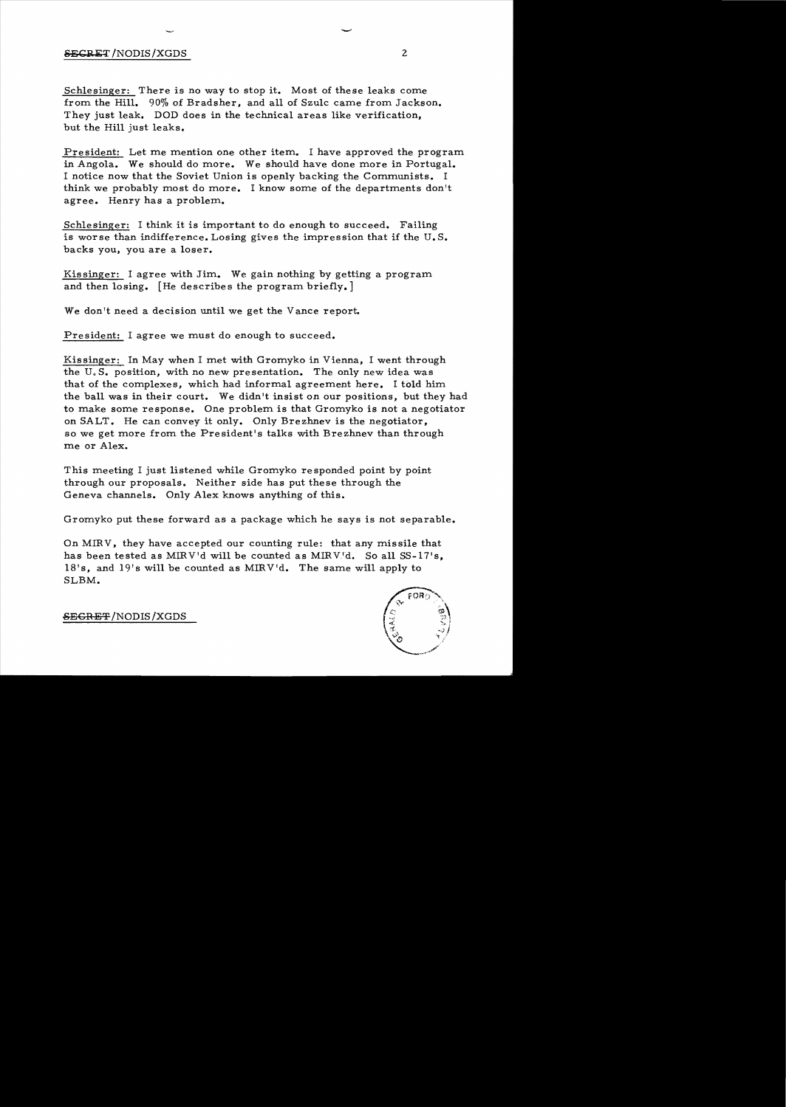## $S_{\text{EGRET}}$ /NODIS/XGDS 2

Schlesinger: There is no way to stop it. Most of these leaks come from the Hill. 90% of Bradsher, and all of Szulc came from Jackson. They just leak. DOD does in the technical areas like verification, but the Hill just leaks.

President: Let me mention one other item. I have approved the program in Angola. We should do more. We should have done more in Portugal. I notice now that the Soviet Union is openly backing the Communists. I think we probably most do more. I know some of the departments don't agree. Henry has a problem.

Schlesinger: I think it is important to do enough to succeed. Failing is worse than indifference. Losing gives the impression that if the U.S. backs you, you are a loser.

Kissinger: I agree with Jim. We gain nothing by getting a program and then losing. [He describes the program briefly.]

We don't need a decision until we get the Vance report.

President: I agree we must do enough to succeed.

Kissinger: In May when I met with Gromyko in Vienna, I went through the U.S. position, with no new presentation. The only new idea was that of the complexes, which had informal agreement here. I told him the ball was in their court. We didn't insist on our positions, but they had to make some response. One problem is that Gromyko is not a negotiator on SALT. He can convey it only. Only Brezhnev is the negotiator, so we get more from the President's talks with Brezhnev than through me or Alex.

This meeting I just listened while Gromyko re sponded point by point through our proposals. Neither side has put these through the Geneva channels. Only Alex knows anything of this.

Gromyko put these forward as a package which he says is not separable.

On MIRV, they have accepted our counting rule: that any missile that has been tested as MIRV'd will be counted as MIRV'd. So all SS-17's, l8's, and 19's will be counted as MIRV'd. The same will apply to SLBM.



SECRET /NODIS /XGDS

-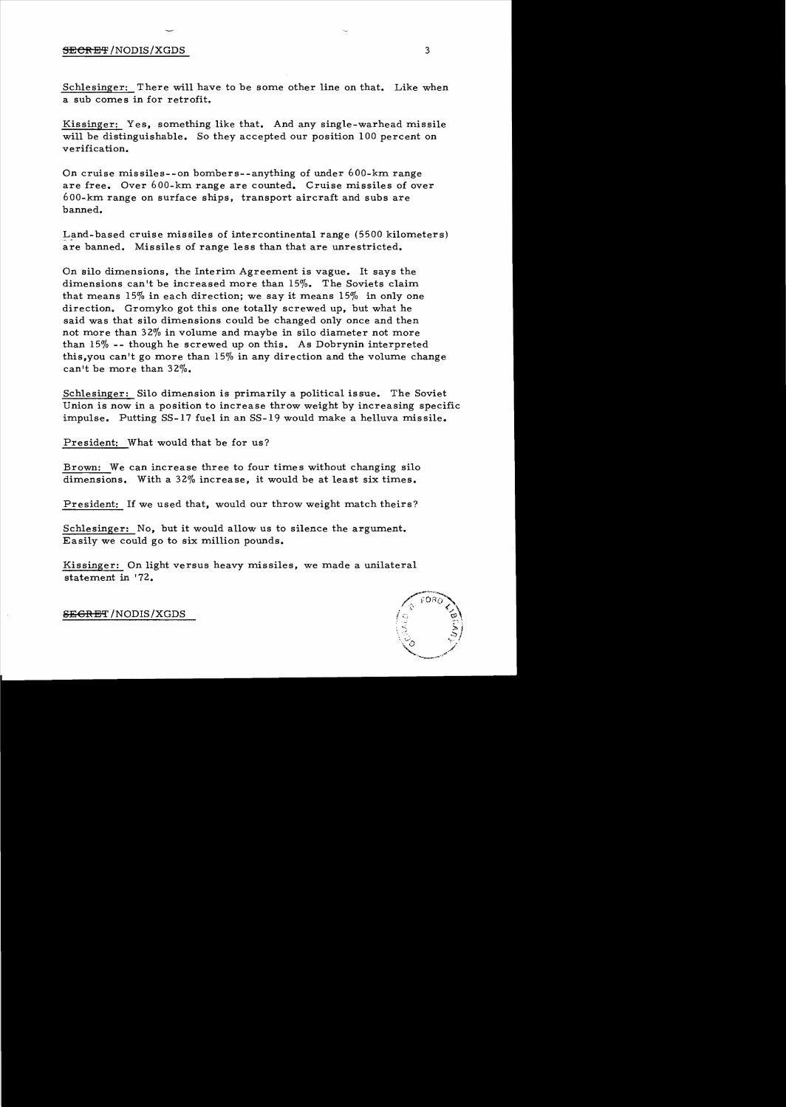#### $\overline{\text{SECREF}}$  /NODIS/XGDS  $\overline{\text{3}}$

Schlesinger: There will have to be some other line on that. Like when a sub comes in for retrofit.

Kissinger: Yes, something like that. And any single-warhead missile will be distinguishable. So they accepted our position 100 percent on verification.

On cruise missiles--on bombers--anything of under 600-km range are free. Over 600-km range are counted. Cruise missiles of over 600-km range on surface ships, transport aircraft and subs are banned.

Land-based cruise missiles of intercontinental range (5500 kilometers) are banned. Missiles of range less than that are unrestricted.

On silo dimensions, the Interim Agreement is vague. It says the dimensions can't be increased more than 15%. The Soviets claim that means 15% in each direction; we say it means 15% in only one direction. Gromyko got this one totally screwed up, but what he said was that silo dimensions could be changed only once and then not more than 32% in volume and maybe in silo diameter not more than 15% -- though he screwed up on this. As Dobrynin interpreted this, you can't go more than  $15\%$  in any direction and the volume change can't be more than 32%.

Schlesinger: Silo dimension is primarily a political issue. The Soviet Union is now in a position to increase throw weight by increasing specific impulse. Putting SS-17 fuel in an SS-19 would make a helluva missile.

President: What would that be for us?

Brown: We can increase three to four times without changing silo dimensions. With a  $32\%$  increase, it would be at least six times.

President: If we used that, would our throw weight match theirs?

Schlesinger: No, but it would allow us to silence the argument. Easily we could go to six million pounds.

Kissinger: On light versus heavy missiles, we made a unilateral statement in '72.



**SEGRET** /NODIS/XGDS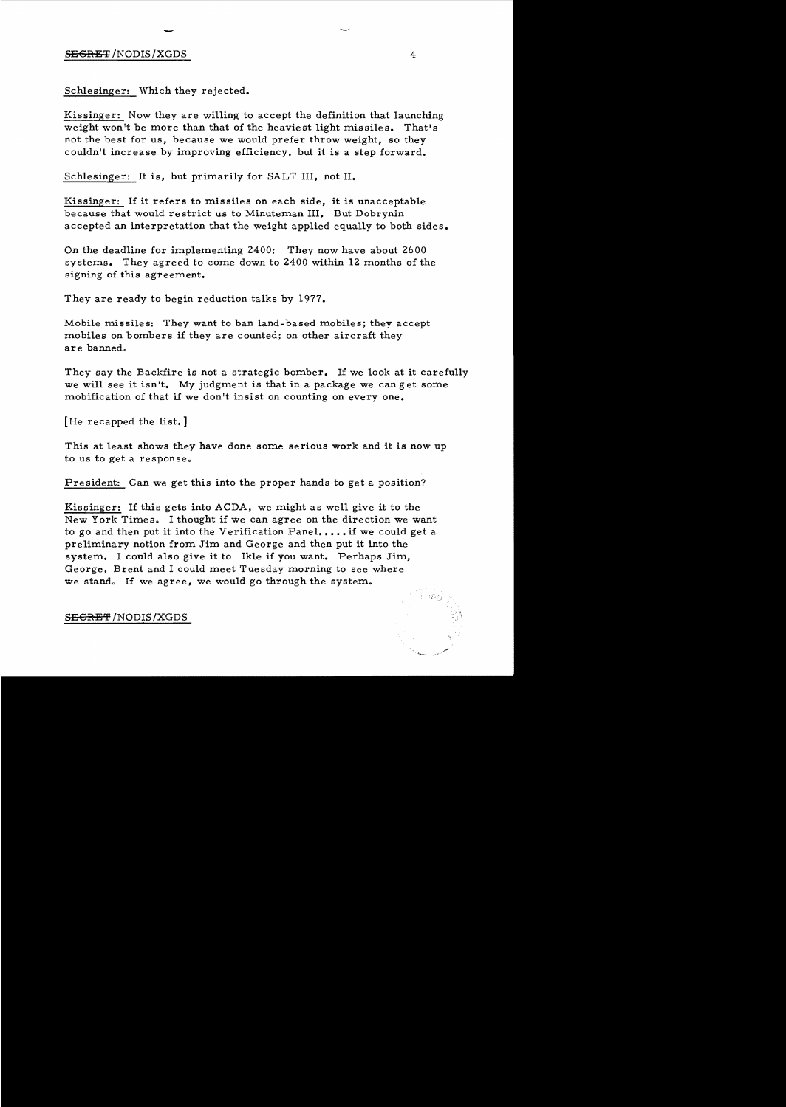# S<del>EGRET</del>/NODIS/XGDS 4

Schlesinger: Which they rejected.

Kissinger: Now they are willing to accept the definition that launching weight won't be more than that of the heaviest light missiles. That's not the best for us, because we would prefer throw weight, so they couldn't increase by improving efficiency, but it is a step forward.

Schlesinger: It is, but primarily for SALT III, not II.

Kissinger: If it refers to missiles on each side, it is unacceptable because that would restrict us to Minuteman III. But Dobrynin accepted an interpretation that the weight applied equally to both sides.

On the deadline for implementing 2400: They now have about 2600 systems. They agreed to come down to 2400 within 12 months of the signing of this agreement.

They are ready to begin reduction talks by 1977.

Mobile missiles: They want to ban land-based mobiles; they accept mobiles on bombers if they are counted; on other aircraft they are banned.

They say the Backfire is not a strategic bomber. If we look at it carefully we will see it isn't. My judgment is that in a package we can get some mobification of that if we don't insist on counting on everyone.

[He recapped the list.]

This at least shows they have done some serious work and it is now up to us to get a response.

President: Can we get this into the proper hands to get a position?

Kissinger: If this gets into ACDA, we might as well give it to the New York Times. I thought if we can agree on the direction we want to go and then put it into the Verification Panel.... if we could get a preliminary notion from Jim and George and then put it into the system. I could also give it to Ikle if you want. Perhaps Jim, George, Brent and I could meet Tuesday morning to see where we stand. If we agree, we would go through the system.

SECRET/NODIS/XGDS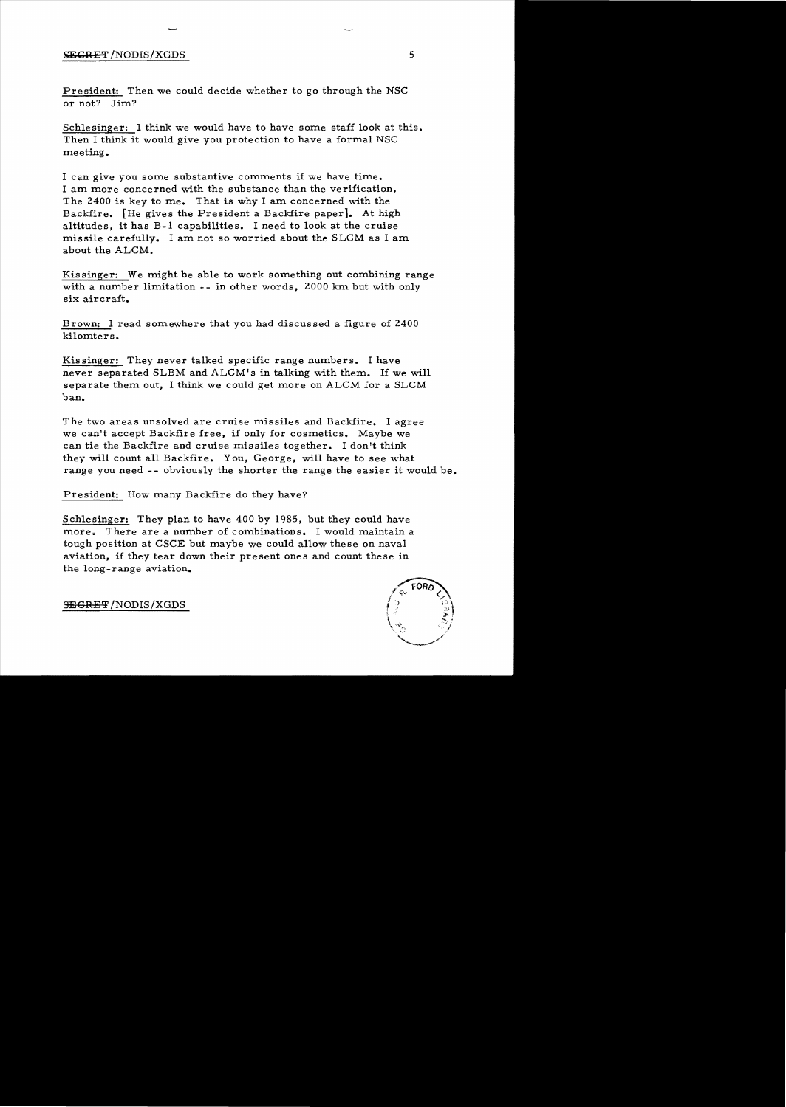### $SEGRET/NODIS/XGDS$  5

President: Then we could decide whether to go through the NSC or not? Jim?

Schlesinger: I think we would have to have some staff look at this. Then I think it would give you protection to have a formal NSC meeting.

I can give you some substantive comments if we have time. I am more concerned with the substance than the verification. The 2400 is key to me. That is why I am concerned with the Backfire. [He gives the President a Backfire paper]. At high altitudes, it has B-1 capabilities. I need to look at the cruise missile carefully. I am not so worried about the SLCM as I am about the ALCM.

Kissinger: We might be able to work something out combining range with a number limitation -- in other words, 2000 km but with only six aircraft.

Brown: I read somewhere that you had discussed a figure of 2400 kilomters.

Kissinger: They never talked specific range numbers. I have never separated SLBM and ALCM's in talking with them. If we will separate them out, I think we could get more on ALCM for a SLCM ban.

The two areas unsolved are cruise missiles and Backfire. I agree we can't accept Backfire free, if only for cosmetics. Maybe we can tie the Backfire and cruise missiles together. I don't think they will count all Backfire. You, George, will have to see what range you need -- obviously the shorter the range the easier it would be.

President: How many Backfire do they have?

Schlesinger: They plan to have 400 by 1985, but they could have more. There are a number of combinations. I would maintain a tough position at CSCE but maybe we could allow these on naval aviation, if they tear down their present ones and count these in the long-range aviation.



SEGRET/NODIS/XGDS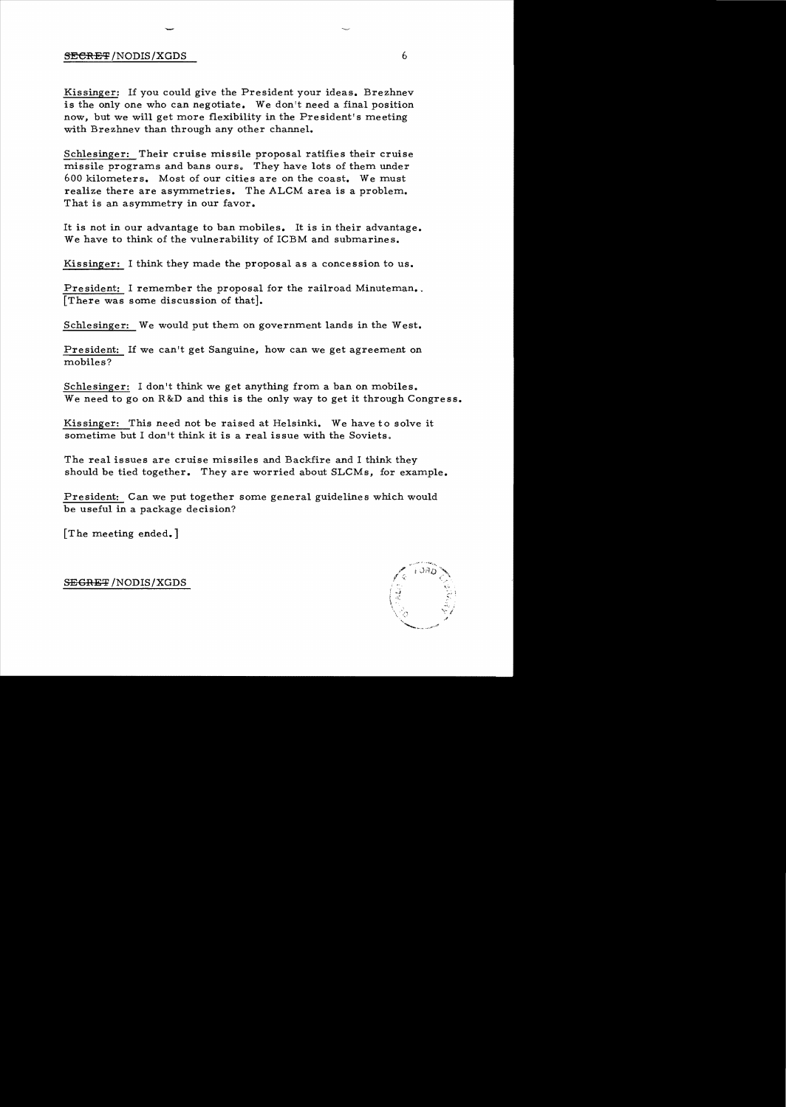### SECRET/NODIS/XGDS 6

Kissinger: If you could give the President your ideas. Brezhnev is the only one who can negotiate. We don't need a final position now, but we will get more flexibility in the President's meeting with Brezhnev than through any other channel.

Schlesinger: Their cruise missile proposal ratifies their cruise missile programs and bans ours. They have lots of them under 600 kilometers. Most of our cities are on the coast. We must realize there are asymmetries. The ALCM area is a problem. That is an asymmetry in our favor.

It is not in our advantage to ban mobiles. It is in their advantage. We have to think of the vulnerability of ICBM and submarines.

Kissinger: I think they made the proposal as a concession to us.

President: I remember the proposal for the railroad Minuteman. [There was some discussion of that].

Schlesinger: We would put them on government lands in the West.

President: If we can't get Sanguine, how can we get agreement on mobiles?

Schlesinger: I don't think we get anything from a ban on mobiles. We need to go on R&D and this is the only way to get it through Congress.

Kissinger: This need not be raised at Helsinki. We have to solve it sometime but I don't think it is a real issue with the Soviets.

The real issues are cruise missiles and Backfire and I think they should be tied together. They are worried about SLCMs, for example.

President: Can we put together some general guidelines which would be useful in a package decision?

[T he meeting ended.]

 .. ,  $\boldsymbol{\mathcal{J}}$ "'-..........\_.. "",.".

SEGRET /NODIS/XGDS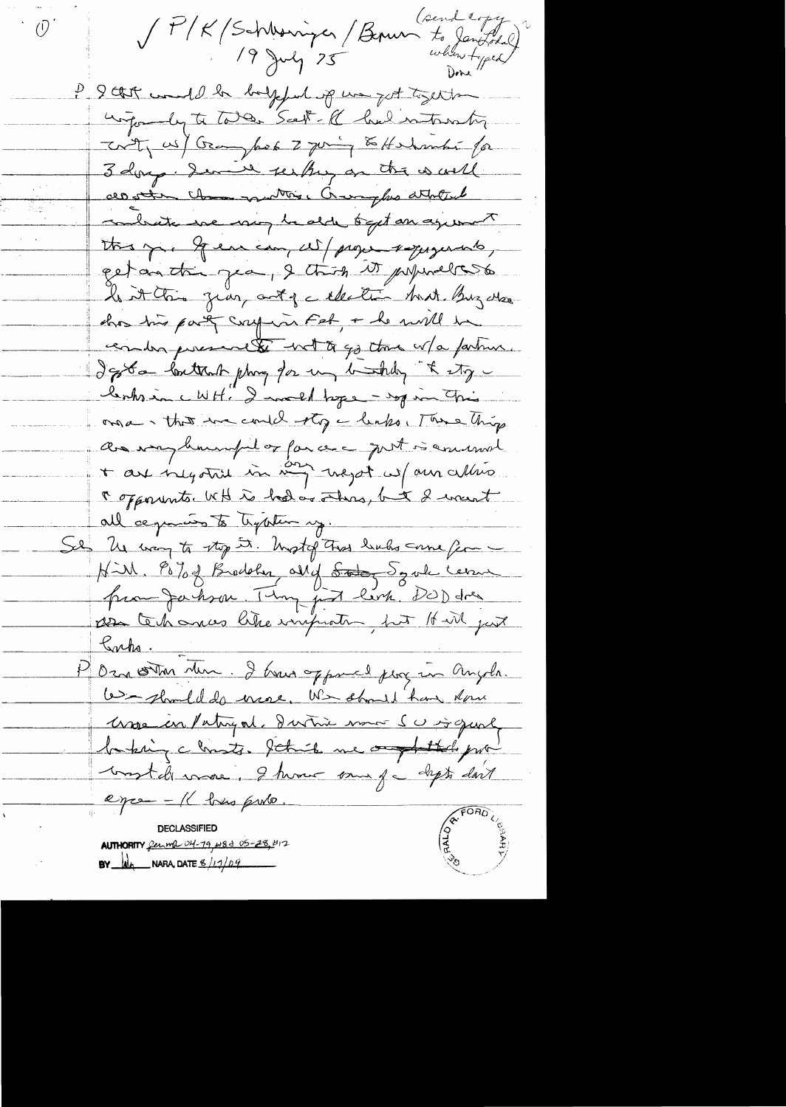SP/K (Schloniques / Bourn to Janthed)<br>19 July 25 When to Janthed)  $\overline{O}$ P 9 that would be beyond up un got together withoundy to take Scott- Re had introntion Trity us/ Gray hope 2 going to Holmanti for 3 dorp. Serve see they are the world all other changementary, Cranghes attribute conhaite we may be alder toget an agreement this p. Geneau, w/ page squeents, get au tri pa, 2 thing it primeless has this party confirm Feb, + he will be conder percevelle with go the w/a farture. d'extra lontrate plus plus en la table, & etg. lents in c WH. I much tage - sop in This orsa, that we could stop a leaks. There things as vary humped or far are got is annual + are only this in myst we am allies r opponents. WH is had as others, but I went all ce parais to typoten y. Se les voy to stop 5. Most of That bules come for NiM. Po 70 8 Brodober ally States d'orde cereme promparbona. Temp just levre DOD dres as technos like improting but It will just Sacha P Ozna ostron Mun. I trava opposed program Angola. 6- should do more. We should have done More en Patryorl, dartin mon SU is quick basking chosts. Sthick we argentless prowon't de more, I have my fa clipts don't eyce - Il bus puto. **REGIVER DECLASSIFIED AUTHORITY** ferma 04-19, 483 05-28, 412 **BY**  $\underline{\mathbf{M}}$  NARA, DATE  $\underline{\mathbf{M}}$  /17/09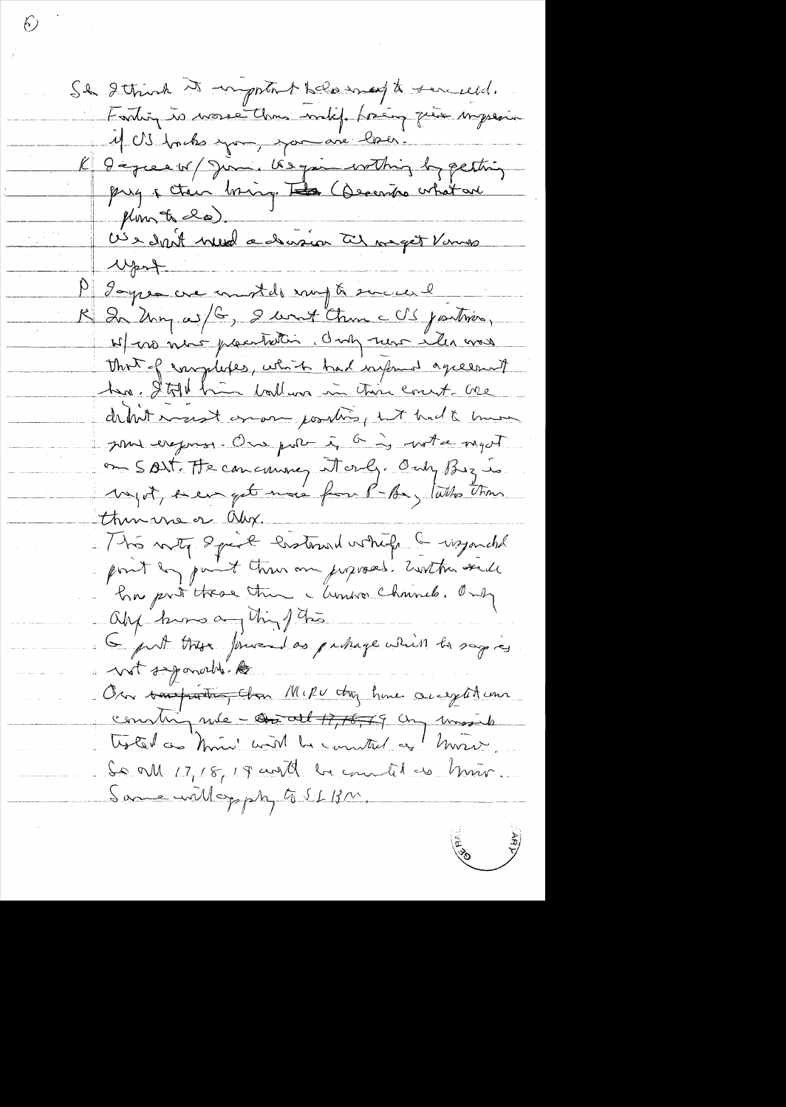Sh 2 think it important help may to senceed. Fortin is more than with freing quier impression 11 US bruho espace, espace avec la cer. K liqueaux/Jumi Usquin within by petting prez a chec bring. La Commandatant Monte la).<br>US e dont med a devision at maget Vanus Wprt P gages are moth my & succese K In Uny with, I want then a US joutries, N/ no nous pacification. Only nous iles mes That of enoplotes, which had informed agreement ha Still him ball un in this court are detail most enough position with the to hun sont expose. One port i a is written myst on Sort. He can cause attacky. Only By is Myst, seen get more from P-Be, talks than thus me or Oly. 1 tra noty Speak Costown while & wzonche point by paint threw are juposed. Earthus send En préttres the Munior Channels. Only ally know anything this G put there presed as puttage which to say is a not separable les On touthatte, than Mike they have accepted com constan rue - contact +7,76,79 cm most So all 17, 18, 19 and be countel as him. Same will opply to SLBM.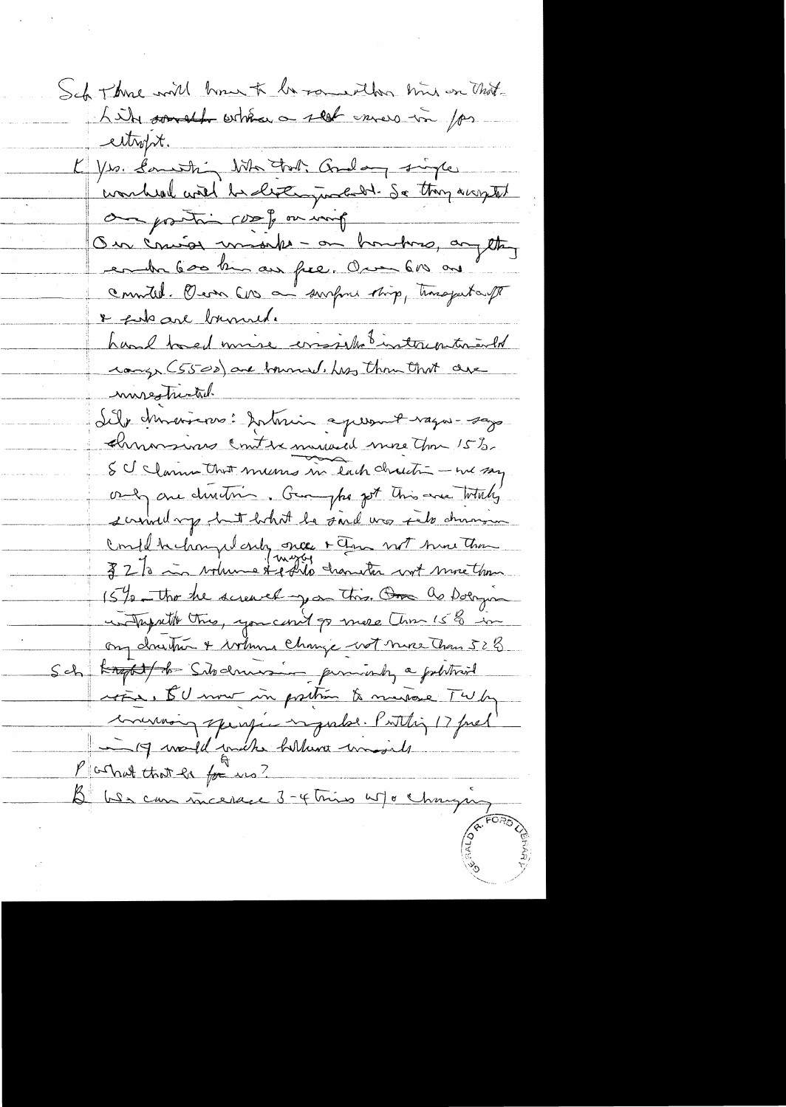Sel Three will have to be roundedor him on that Like somethe when a self ennero in for eitropt. K Yrs. Commission Who that Godlang single wonked with he destingunded - So they arrived on proting coop on ming Our couras modele - on honotons, anythey ender 600 km au fier. One 610 au countel. Oven car a surpri sing, timogental & fish are brunned. hand to ed mire consiste tintacontributed cange (5500) are bourned, has thou that are mos turtal Il p moisons: portarin apresent vagos-sago. Chronomas Contre miraid more Jon 15%. SC Clanne that mems in lach charactic - we say only one devetion. Guayho got this are totally scribed my hunt bothat he said was fels atomorrow Confil behanged only once + Ten not him than 32 To in volume & poils chariter wort more than 15 % the screwed you this. One as Doingin unitageath this, you can't go more than 15% in on dructur + bothome change wit nure Than 528 Sch <del>Kropt/de</del> Sibdermesine permissing a politicial rotie, I'll mout in prettien to mustake Twby common sperfic in Judal. Putting 17 Juel 19 would mich follows wasils Machatthat la for us? D'US can incerace 3-4 tries w/ o changée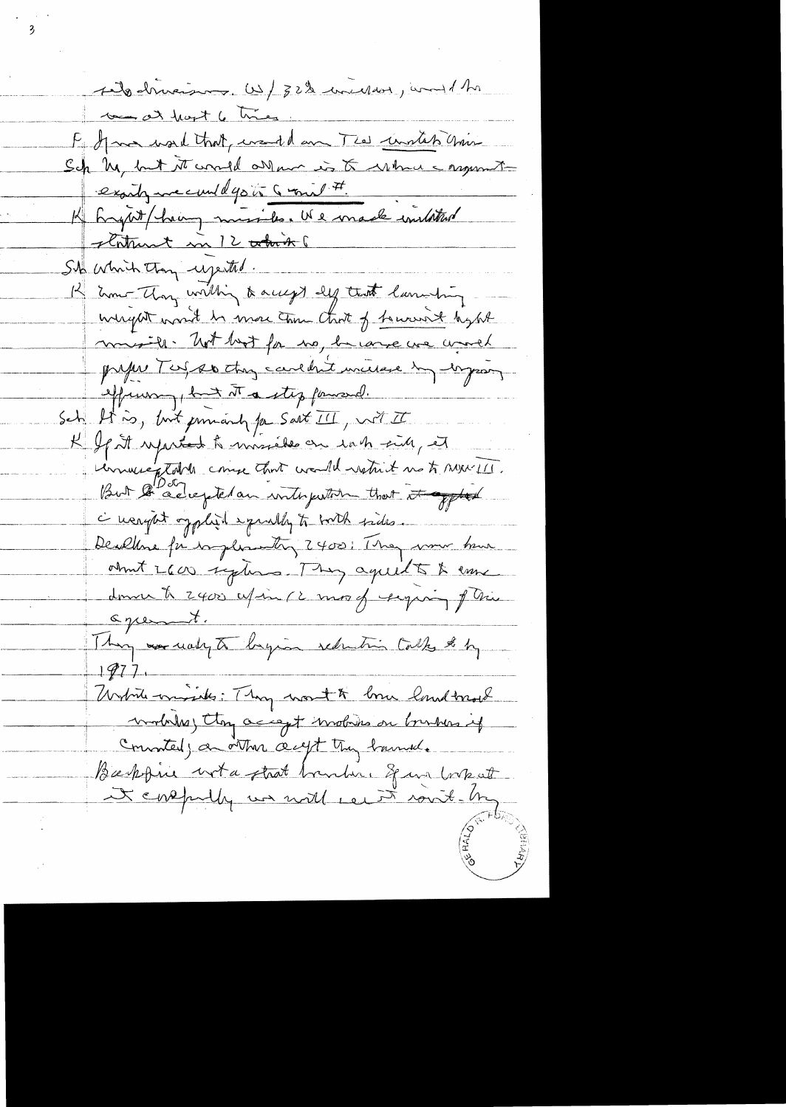sito driverses. US/ 32% inciden, would the to at hart 6 times. F gave used that would am The united Chin Sch My but it consider a to what a mymetexaily we could go to Grow #. K Exait him missile. We made initated statunt in 12 total St which they uperted. 12 Em Thong within & accept def that lammeting weight won't be more than that of towards hybt missile. Not but for no, because we would proper Test 20 change caredant universe du dageson effuncion , but it a step famound. Sch It is, but promandy for Sart II, with IT K If it reported to missieke on which side, et Universitation come that would restrict me to marrill. But le adrepte an interpretion that it offted <u>à neaght opphraid ependly to borth sides.</u> Dealthre for implementing 2400; They were been about LCOO systems. They agreed to to ensure domin to 2400 effin (2 most require of this agreement. Thing was using to bagin reduction talks to by  $197$ Witnes missile: Thy work me land treat modules, they accept involvins on burshira if Connated, a other acept they havend. Baskfine with that bander, Span borket It contently we will cent rout be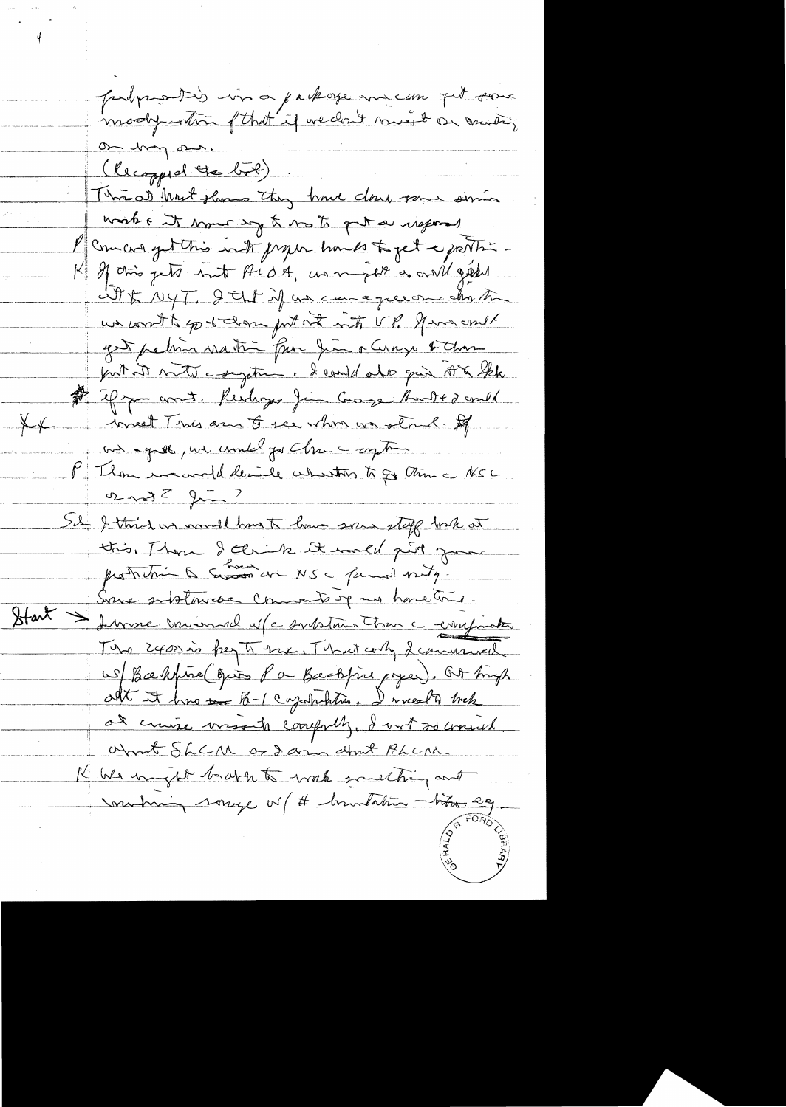probarantés in a package me can pet son on hay our. (Recopped the bol) Thread Most shows they have done some sime worke it now b not get a siegers mucos get this is to proper hands to get a partir If this gets but ALDA, we may be a will get it & NYT, Ith if an canagevere chat un contte po + dom jut not int VP. gave und get petin nation fun Jun a Cinqu & Chan put it not comptant. I could also qui AK the \$ if you want. Kerleys fin Group Aunt+ 2 could inneed This arm to see when we shoul. If  $X \times$ and agree, we could go theme up to P Thom we would devide whentow to go this a NSL 02 mg = 2 mg Sil J. third we would have to low spain stoff took at this Than I chink it would give you Some subtomable Comments up mus home time. Start Summe incomme d' contstant tous comprister The 2400 is hey to the That why I communed us Bahrine qui Pa Backfine pages). Out high all it has to 1 capitalis. I meet to trek at cruise mosaiche compreh, I wit 20 crowned Write SLCM or dann about PLCM. K We might bratch to work southing and motion songe of # broatation - today eg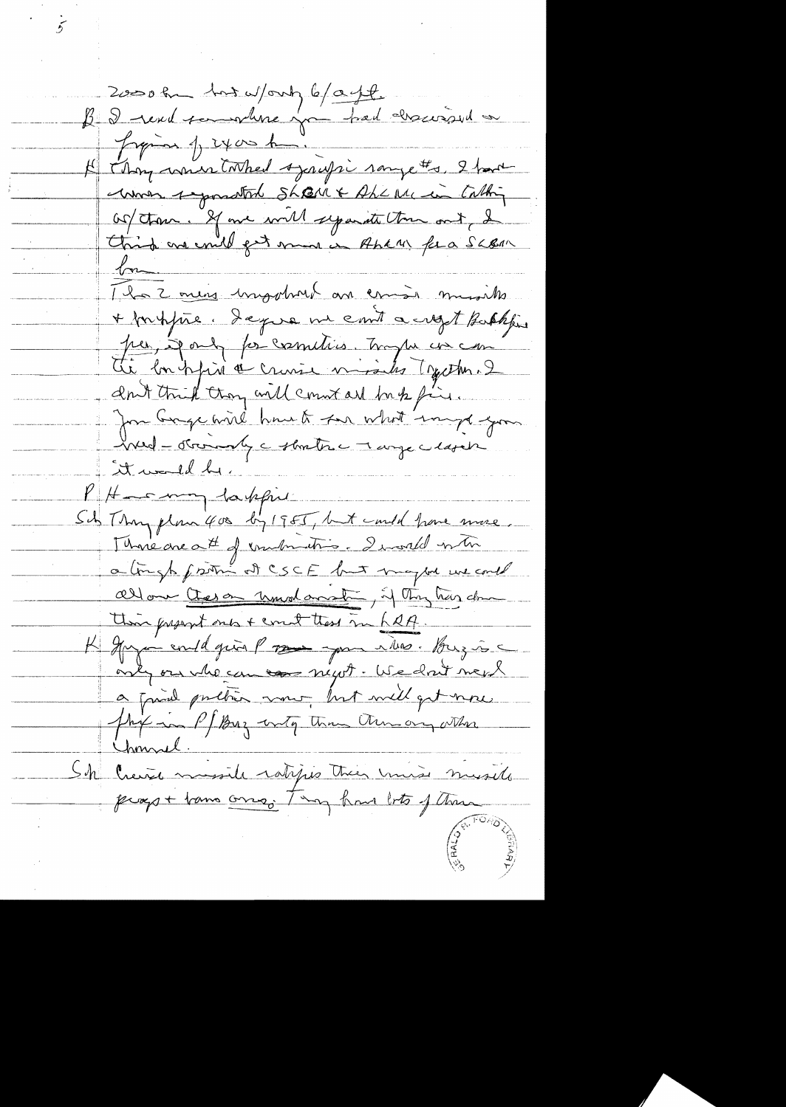2000 hu has work b/age B J revel sommer par had charcoised Japan 1, 2400 home If thoughout tothed syrifs campethe, 2 hours unos segundad Sharr & Aherrian Cathy Of them. If we will separate them ont, I Christ and could get mind in Pher fera SLBAR  $\sqrt{\infty}$ The 2 mins impotunt an comis musiles + fortifice. Deque me emit a crept Bakkfin per, Jack for cometiers. Trape in com ant this trong will count are by fine. for Gage wird havet for what implayer hud - otros andy a strates a large a lasat it would be KH \_\_ mm lakfri Sity Though flow 400 by 1985, but could have more, More are att of combination I would write a tingh from at CSCE but maybe we could allow there understand Thy has done this justint ones + count these in half. K Grya evildgein Propose you illes. Buzie only our who can use negot. We don't mepl a friend pretien mor but will get now this in P/ Buz with the thin ony other Chonnel. Sh Creix musile ratifies their miss musile propt tam ong ting have to ftem